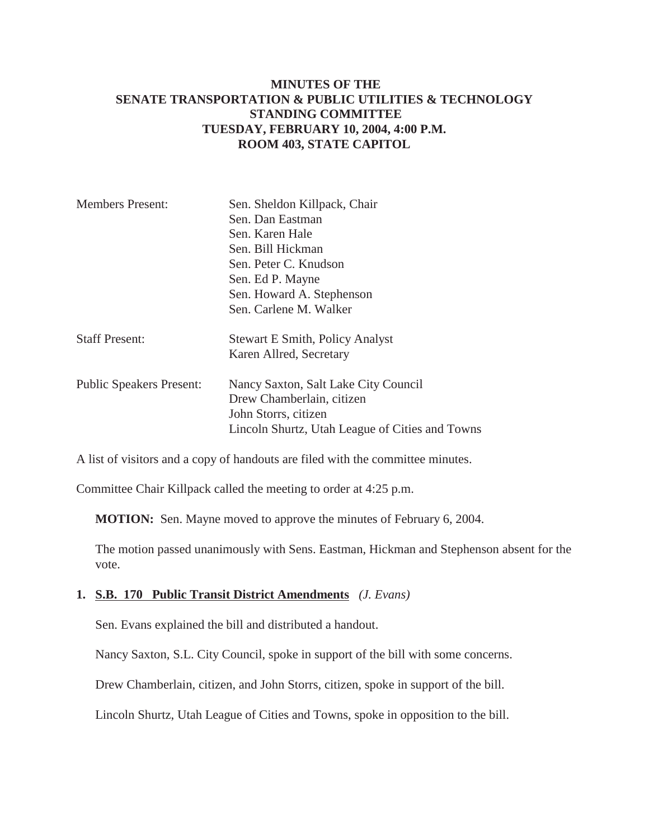# **MINUTES OF THE SENATE TRANSPORTATION & PUBLIC UTILITIES & TECHNOLOGY STANDING COMMITTEE TUESDAY, FEBRUARY 10, 2004, 4:00 P.M. ROOM 403, STATE CAPITOL**

| <b>Members Present:</b>         | Sen. Sheldon Killpack, Chair                    |
|---------------------------------|-------------------------------------------------|
|                                 | Sen. Dan Eastman                                |
|                                 | Sen. Karen Hale                                 |
|                                 | Sen. Bill Hickman                               |
|                                 | Sen. Peter C. Knudson                           |
|                                 | Sen. Ed P. Mayne                                |
|                                 | Sen. Howard A. Stephenson                       |
|                                 | Sen. Carlene M. Walker                          |
| <b>Staff Present:</b>           | <b>Stewart E Smith, Policy Analyst</b>          |
|                                 | Karen Allred, Secretary                         |
| <b>Public Speakers Present:</b> | Nancy Saxton, Salt Lake City Council            |
|                                 | Drew Chamberlain, citizen                       |
|                                 | John Storrs, citizen                            |
|                                 | Lincoln Shurtz, Utah League of Cities and Towns |

A list of visitors and a copy of handouts are filed with the committee minutes.

Committee Chair Killpack called the meeting to order at 4:25 p.m.

**MOTION:** Sen. Mayne moved to approve the minutes of February 6, 2004.

The motion passed unanimously with Sens. Eastman, Hickman and Stephenson absent for the vote.

#### **1. S.B. 170 Public Transit District Amendments** *(J. Evans)*

Sen. Evans explained the bill and distributed a handout.

Nancy Saxton, S.L. City Council, spoke in support of the bill with some concerns.

Drew Chamberlain, citizen, and John Storrs, citizen, spoke in support of the bill.

Lincoln Shurtz, Utah League of Cities and Towns, spoke in opposition to the bill.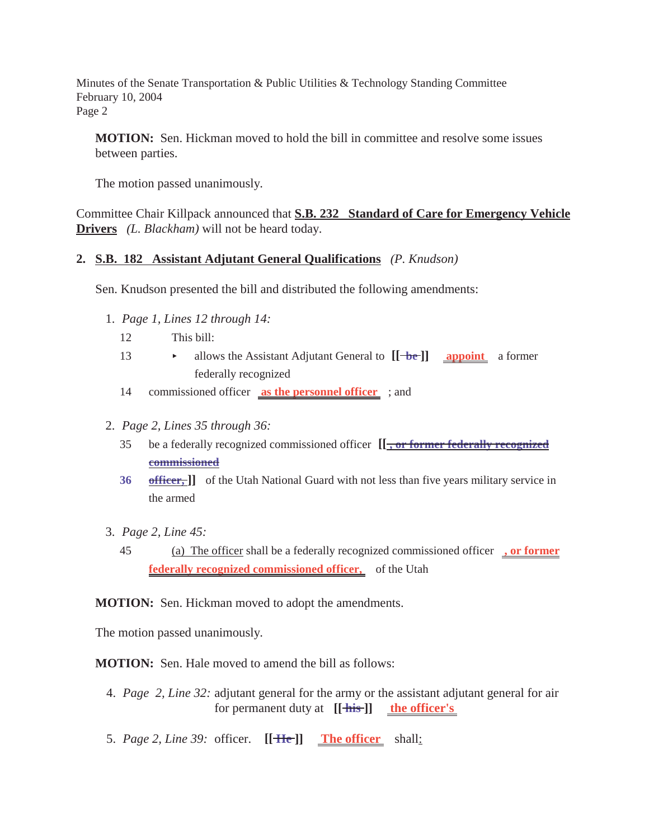Minutes of the Senate Transportation & Public Utilities & Technology Standing Committee February 10, 2004 Page 2

**MOTION:** Sen. Hickman moved to hold the bill in committee and resolve some issues between parties.

The motion passed unanimously.

Committee Chair Killpack announced that **S.B. 232 Standard of Care for Emergency Vehicle Drivers** *(L. Blackham)* will not be heard today.

### **2. S.B. 182 Assistant Adjutant General Qualifications** *(P. Knudson)*

Sen. Knudson presented the bill and distributed the following amendments:

- 1. *Page 1, Lines 12 through 14:*
	- 12 This bill:
	- 13 allows the Assistant Adjutant General to  $[[\rightarrow e]]$  appoint a former federally recognized
	- 14 commissioned officer **as the personnel officer** ; and
- 2. *Page 2, Lines 35 through 36:*
	- 35 be a federally recognized commissioned officer **[[ , or former federally recognized commissioned**
	- **36 officer, ]** of the Utah National Guard with not less than five years military service in the armed
- 3. *Page 2, Line 45:*
	- 45 (a) The officer shall be a federally recognized commissioned officer **, or former federally recognized commissioned officer,** of the Utah

**MOTION:** Sen. Hickman moved to adopt the amendments.

The motion passed unanimously.

**MOTION:** Sen. Hale moved to amend the bill as follows:

- 4. *Page 2, Line 32:* adjutant general for the army or the assistant adjutant general for air for permanent duty at **[[ his ]] the officer's**
- 5. *Page 2, Line 39:* officer. **[[ He ]] The officer** shall: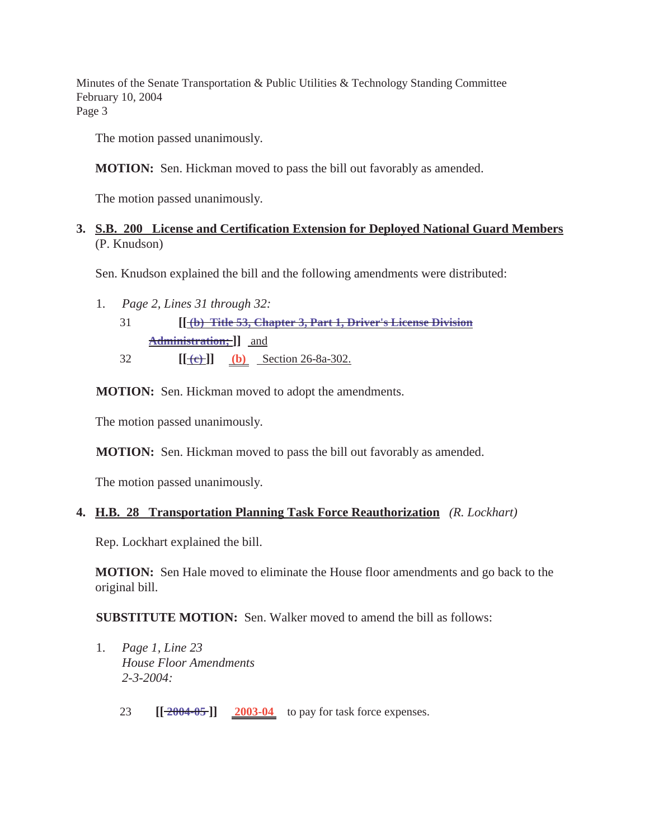Minutes of the Senate Transportation & Public Utilities & Technology Standing Committee February 10, 2004

Page 3

The motion passed unanimously.

**MOTION:** Sen. Hickman moved to pass the bill out favorably as amended.

The motion passed unanimously.

# **3. S.B. 200 License and Certification Extension for Deployed National Guard Members** (P. Knudson)

Sen. Knudson explained the bill and the following amendments were distributed:

1. *Page 2, Lines 31 through 32:*

- 31 **[[ (b) Title 53, Chapter 3, Part 1, Driver's License Division Administration;** ]] and
- 32 **[[<del>(e)</del>]] (b)** Section 26-8a-302.

**MOTION:** Sen. Hickman moved to adopt the amendments.

The motion passed unanimously.

**MOTION:** Sen. Hickman moved to pass the bill out favorably as amended.

The motion passed unanimously.

# **4. H.B. 28 Transportation Planning Task Force Reauthorization** *(R. Lockhart)*

Rep. Lockhart explained the bill.

**MOTION:** Sen Hale moved to eliminate the House floor amendments and go back to the original bill.

**SUBSTITUTE MOTION:** Sen. Walker moved to amend the bill as follows:

- 1. *Page 1, Line 23 House Floor Amendments 2-3-2004:*
	- 23 **[[**  $\frac{2004-05}{2003-04}$  **to pay for task force expenses.**